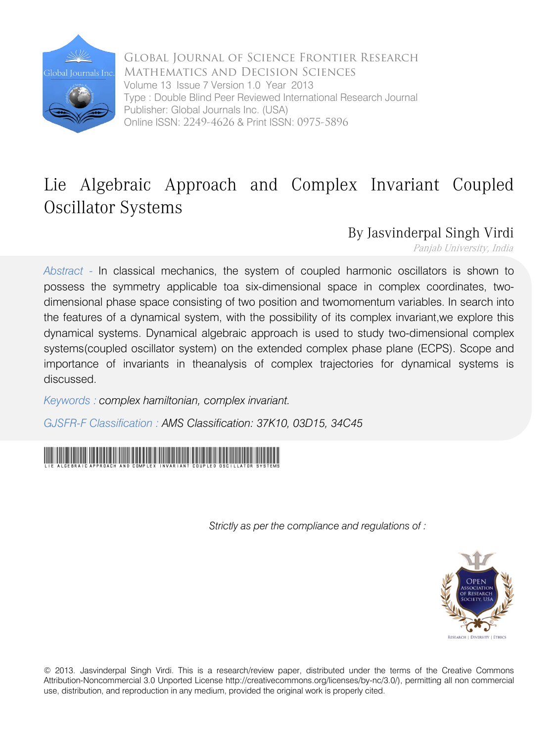

Global Journal of Science Frontier Research Mathematics and Decision Sciences Volume 13 Issue 7 Version 1.0 Year 2013 Type : Double Blind Peer Reviewed International Research Journal Publisher: Global Journals Inc. (USA) Online ISSN: 2249-4626 & Print ISSN: 0975-5896

# Lie Algebraic Approach and Complex Invariant Coupled Oscillator Systems

By Jasvinderpal Singh Virdi

Panjab University, India

*Abstract -* In classical mechanics, the system of coupled harmonic oscillators is shown to possess the symmetry applicable toa six-dimensional space in complex coordinates, twodimensional phase space consisting of two position and twomomentum variables. In search into the features of a dynamical system, with the possibility of its complex invariant,we explore this dynamical systems. Dynamical algebraic approach is used to study two-dimensional complex systems(coupled oscillator system) on the extended complex phase plane (ECPS). Scope and importance of invariants in theanalysis of complex trajectories for dynamical systems is discussed.

*Keywords : complex hamiltonian, complex invariant.* 

*GJSFR-F Classification : AMS Classification: 37K10, 03D15, 34C45*



 *Strictly as per the compliance and regulations of :* 



© 2013. Jasvinderpal Singh Virdi. This is a research/review paper, distributed under the terms of the Creative Commons Attribution-Noncommercial 3.0 Unported License http://creativecommons.org/licenses/by-nc/3.0/), permitting all non commercial use, distribution, and reproduction in any medium, provided the original work is properly cited.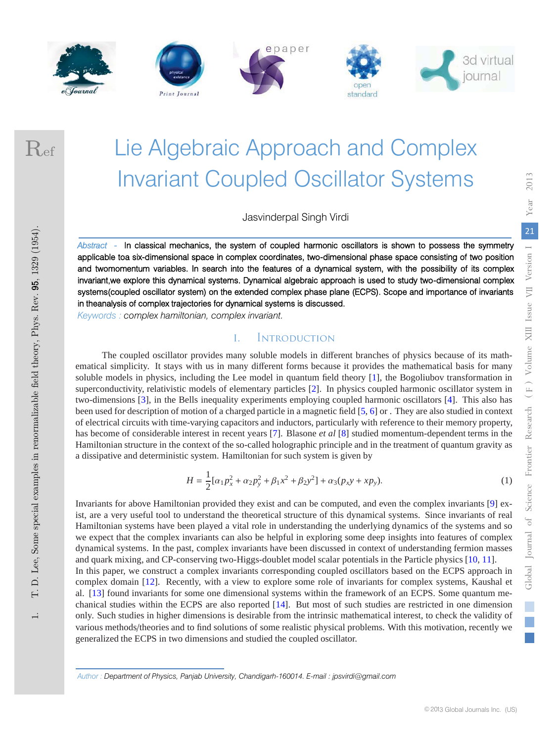







Ref

# Lie Algebraic Approach and Complex Invariant Coupled Oscillator Systems

Jasvinderpal Singh Virdi

*Abstract -* In classical mechanics, the system of coupled harmonic oscillators is shown to possess the symmetry applicable toa six-dimensional space in complex coordinates, two-dimensional phase space consisting of two position and twomomentum variables. In search into the features of a dynamical system, with the possibility of its complex invariant,we explore this dynamical systems. Dynamical algebraic approach is used to study two-dimensional complex systems(coupled oscillator system) on the extended complex phase plane (ECPS). Scope and importance of invariants in theanalysis of complex trajectories for dynamical systems is discussed.

*Keywords : complex hamiltonian, complex invariant.*

### INTRODUCTION

 $\mathbf{L}$ 

The coupled oscillator provides many soluble models in different branches of physics because of its mathematical simplicity. It stays with us in many different forms because it provides the mathematical basis for many soluble models in physics, including the Lee model in quantum field theory [1], the Bogoliubov transformation in superconductivity, relativistic models of elementary particles [2]. In physics coupled harmonic oscillator system in two-dimensions [3], in the Bells inequality experiments employing coupled harmonic oscillators [4]. This also has been used for description of motion of a charged particle in a magnetic field [5, 6] or . They are also studied in context of electrical circuits with time-varying capacitors and inductors, particularly with reference to their memory property, has become of considerable interest in recent years [7]. Blasone *et al* [8] studied momentum-dependent terms in the Hamiltonian structure in the context of the so-called holographic principle and in the treatment of quantum gravity as a dissipative and deterministic system. Hamiltonian for such system is given by

$$
H = \frac{1}{2} [\alpha_1 p_x^2 + \alpha_2 p_y^2 + \beta_1 x^2 + \beta_2 y^2] + \alpha_3 (p_x y + x p_y).
$$
 (1)

Invariants for above Hamiltonian provided they exist and can be computed, and even the complex invariants [9] exist, are a very useful tool to understand the theoretical structure of this dynamical systems. Since invariants of real Hamiltonian systems have been played a vital role in understanding the underlying dynamics of the systems and so we expect that the complex invariants can also be helpful in exploring some deep insights into features of complex dynamical systems. In the past, complex invariants have been discussed in context of understanding fermion masses and quark mixing, and CP-conserving two-Higgs-doublet model scalar potentials in the Particle physics [10, 11]. In this paper, we construct a complex invariants corresponding coupled oscillators based on the ECPS approach in complex domain [12]. Recently, with a view to explore some role of invariants for complex systems, Kaushal et

al. [13] found invariants for some one dimensional systems within the framework of an ECPS. Some quantum mechanical studies within the ECPS are also reported [14]. But most of such studies are restricted in one dimension only. Such studies in higher dimensions is desirable from the intrinsic mathematical interest, to check the validity of various methods/theories and to find solutions of some realistic physical problems. With this motivation, recently we generalized the ECPS in two dimensions and studied the coupled oscillator.

*Author : Department of Physics, Panjab University, Chandigarh-160014. E-mail : jpsvirdi@gmail.com*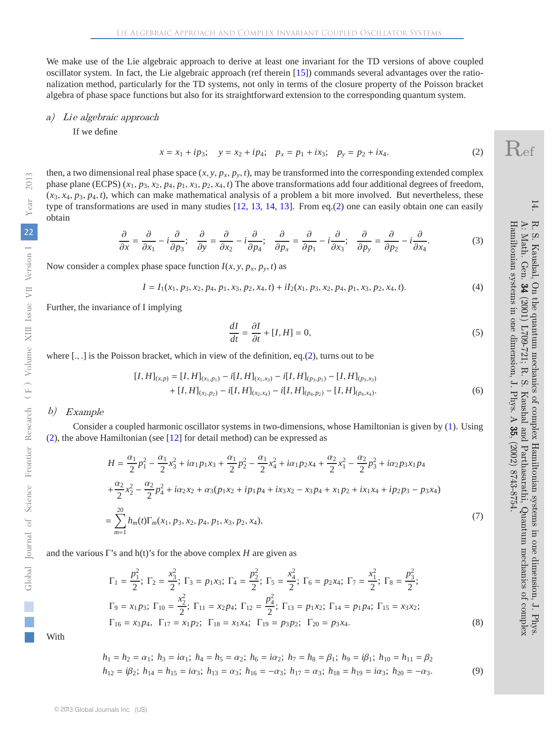We make use of the Lie algebraic approach to derive at least one invariant for the TD versions of above coupled oscillator system. In fact, the Lie algebraic approach (ref therein [15]) commands several advantages over the rationalization method, particularly for the TD systems, not only in terms of the closure property of the Poisson bracket algebra of phase space functions but also for its straightforward extension to the corresponding quantum system.

#### a) Lie algebraic approach

If we define

$$
x = x_1 + ip_3; \quad y = x_2 + ip_4; \quad p_x = p_1 + ix_3; \quad p_y = p_2 + ix_4. \tag{2}
$$

then, a two dimensional real phase space  $(x, y, p_x, p_y, t)$ , may be transformed into the corresponding extended complex phase plane (ECPS)  $(x_1, p_3, x_2, p_4, p_1, x_3, p_2, x_4, t)$  The above transformations add four additional degrees of freedom,  $(x_3, x_4, p_3, p_4, t)$ , which can make mathematical analysis of a problem a bit more involved. But nevertheless, these type of transformations are used in many studies [12, 13, 14, 13]. From eq.(2) one can easily obtain one can easily obtain

$$
\frac{\partial}{\partial x} = \frac{\partial}{\partial x_1} - i \frac{\partial}{\partial p_3}; \quad \frac{\partial}{\partial y} = \frac{\partial}{\partial x_2} - i \frac{\partial}{\partial p_4}; \quad \frac{\partial}{\partial p_x} = \frac{\partial}{\partial p_1} - i \frac{\partial}{\partial x_3}; \quad \frac{\partial}{\partial p_y} = \frac{\partial}{\partial p_2} - i \frac{\partial}{\partial x_4}.
$$
(3)

Now consider a complex phase space function  $I(x, y, p_x, p_y, t)$  as

$$
I = I_1(x_1, p_3, x_2, p_4, p_1, x_3, p_2, x_4, t) + iI_2(x_1, p_3, x_2, p_4, p_1, x_3, p_2, x_4, t).
$$
\n(4)

Further, the invariance of I implying

$$
\frac{dI}{dt} = \frac{\partial I}{\partial t} + [I, H] = 0,\tag{5}
$$

where  $[.,.]$  is the Poisson bracket, which in view of the definition, eq.(2), turns out to be

$$
[I, H]_{(x,p)} = [I, H]_{(x_1, p_1)} - i[I, H]_{(x_1, x_3)} - i[I, H]_{(p_3, p_1)} - [I, H]_{(p_3, x_3)} + [I, H]_{(x_2, p_2)} - i[I, H]_{(x_2, x_4)} - i[I, H]_{(p_4, p_2)} - [I, H]_{(p_4, x_4)}.
$$
\n(6)

#### b) Example

Consider a coupled harmonic oscillator systems in two-dimensions, whose Hamiltonian is given by (1). Using (2), the above Hamiltonian (see [12] for detail method) can be expressed as

$$
H = \frac{\alpha_1}{2} p_1^2 - \frac{\alpha_1}{2} x_3^2 + i\alpha_1 p_1 x_3 + \frac{\alpha_1}{2} p_2^2 - \frac{\alpha_1}{2} x_4^2 + i\alpha_1 p_2 x_4 + \frac{\alpha_2}{2} x_1^2 - \frac{\alpha_2}{2} p_3^2 + i\alpha_2 p_3 x_1 p_4
$$
  
+ 
$$
\frac{\alpha_2}{2} x_2^2 - \frac{\alpha_2}{2} p_4^2 + i\alpha_2 x_2 + \alpha_3 (p_1 x_2 + i p_1 p_4 + i x_3 x_2 - x_3 p_4 + x_1 p_2 + i x_1 x_4 + i p_2 p_3 - p_3 x_4)
$$
  
= 
$$
\sum_{m=1}^{20} h_m(t) \Gamma_m(x_1, p_3, x_2, p_4, p_1, x_3, p_2, x_4),
$$
 (7)

and the various  $\Gamma$ 's and h(t)'s for the above complex *H* are given as

$$
\Gamma_1 = \frac{p_1^2}{2}; \ \Gamma_2 = \frac{x_3^2}{2}; \ \Gamma_3 = p_1 x_3; \ \Gamma_4 = \frac{p_2^2}{2}; \ \Gamma_5 = \frac{x_4^2}{2}; \ \Gamma_6 = p_2 x_4; \ \Gamma_7 = \frac{x_1^2}{2}; \ \Gamma_8 = \frac{p_3^2}{2};
$$
\n
$$
\Gamma_9 = x_1 p_3; \ \Gamma_{10} = \frac{x_2^2}{2}; \ \Gamma_{11} = x_2 p_4; \ \Gamma_{12} = \frac{p_4^2}{2}; \ \Gamma_{13} = p_1 x_2; \ \Gamma_{14} = p_1 p_4; \ \Gamma_{15} = x_3 x_2;
$$
\n
$$
\Gamma_{16} = x_3 p_4, \ \Gamma_{17} = x_1 p_2; \ \Gamma_{18} = x_1 x_4; \ \Gamma_{19} = p_3 p_2; \ \Gamma_{20} = p_3 x_4.
$$
\n(8)

With

$$
h_1 = h_2 = \alpha_1; \ h_3 = i\alpha_1; \ h_4 = h_5 = \alpha_2; \ h_6 = i\alpha_2; \ h_7 = h_8 = \beta_1; \ h_9 = i\beta_1; \ h_{10} = h_{11} = \beta_2
$$
  

$$
h_{12} = i\beta_2; \ h_{14} = h_{15} = i\alpha_3; \ h_{13} = \alpha_3; \ h_{16} = -\alpha_3; \ h_{17} = \alpha_3; \ h_{18} = h_{19} = i\alpha_3; \ h_{20} = -\alpha_3.
$$
 (9)

14.

 $E_{\rm i}$ 

Kaushal,  $Gen.$  $34$ 

A: Math.  $\tilde{\mathbf{c}}$ 

R. S. Kaushal, On the quantum mechanics of complex Hamiltonian systems in one dimension, J. Phys. A: Math. Gen. 34 (2001) L709-721; R. S. Kaushal and Parthasarathi, Quantum mechanics of complex

the quantum mechanics of complex Hamiltonian systems in one dimension, J. Phys

Kaushal and Parthasarathi, Quantum mechanics of complex

 $(2002)$  8743-8754

Hamiltonian systems in one dimension, J. Phys. A 35, (2002) 8743-8754.

Hamiltonian systems in one dimension, J. Phys. A 35,

(2001) L709-721; R.

 $\tilde{\Omega}$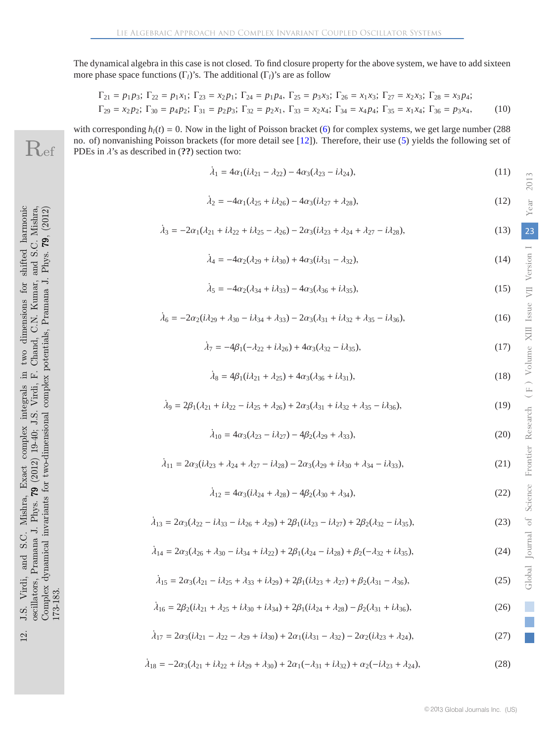The dynamical algebra in this case is not closed. To find closure property for the above system, we have to add sixteen more phase space functions  $(\Gamma_l)$ 's. The additional  $(\Gamma_l)$ 's are as follow

$$
\Gamma_{21} = p_1 p_3; \ \Gamma_{22} = p_1 x_1; \ \Gamma_{23} = x_2 p_1; \ \Gamma_{24} = p_1 p_4, \ \Gamma_{25} = p_3 x_3; \ \Gamma_{26} = x_1 x_3; \ \Gamma_{27} = x_2 x_3; \ \Gamma_{28} = x_3 p_4; \n\Gamma_{29} = x_2 p_2; \ \Gamma_{30} = p_4 p_2; \ \Gamma_{31} = p_2 p_3; \ \Gamma_{32} = p_2 x_1, \ \Gamma_{33} = x_2 x_4; \ \Gamma_{34} = x_4 p_4; \ \Gamma_{35} = x_1 x_4; \ \Gamma_{36} = p_3 x_4, \tag{10}
$$

with corresponding  $h_l(t) = 0$ . Now in the light of Poisson bracket (6) for complex systems, we get large number (288) no. of) nonvanishing Poisson brackets (for more detail see [12]). Therefore, their use (5) yields the following set of PDEs in  $\lambda$ 's as described in (??) section two:

$$
\dot{\lambda}_1 = 4\alpha_1(i\lambda_{21} - \lambda_{22}) - 4\alpha_3(\lambda_{23} - i\lambda_{24}),\tag{11}
$$

$$
\dot{\lambda}_2 = -4\alpha_1(\lambda_{25} + i\lambda_{26}) - 4\alpha_3(i\lambda_{27} + \lambda_{28}),\tag{12}
$$

$$
\dot{\lambda}_3 = -2\alpha_1(\lambda_{21} + i\lambda_{22} + i\lambda_{25} - \lambda_{26}) - 2\alpha_3(i\lambda_{23} + \lambda_{24} + \lambda_{27} - i\lambda_{28}),\tag{13}
$$

$$
\dot{\lambda}_4 = -4\alpha_2(\lambda_{29} + i\lambda_{30}) + 4\alpha_3(i\lambda_{31} - \lambda_{32}),\tag{14}
$$

$$
\dot{\lambda}_5 = -4\alpha_2(\lambda_{34} + i\lambda_{33}) - 4\alpha_3(\lambda_{36} + i\lambda_{35}),\tag{15}
$$

$$
\dot{\lambda}_6 = -2\alpha_2(i\lambda_{29} + \lambda_{30} - i\lambda_{34} + \lambda_{33}) - 2\alpha_3(\lambda_{31} + i\lambda_{32} + \lambda_{35} - i\lambda_{36}),\tag{16}
$$

$$
\dot{\lambda}_7 = -4\beta_1(-\lambda_{22} + i\lambda_{26}) + 4\alpha_3(\lambda_{32} - i\lambda_{35}),\tag{17}
$$

$$
\dot{\lambda}_8 = 4\beta_1(i\lambda_{21} + \lambda_{25}) + 4\alpha_3(\lambda_{36} + i\lambda_{31}),\tag{18}
$$

$$
\dot{\lambda}_9 = 2\beta_1(\lambda_{21} + i\lambda_{22} - i\lambda_{25} + \lambda_{26}) + 2\alpha_3(\lambda_{31} + i\lambda_{32} + \lambda_{35} - i\lambda_{36}),\tag{19}
$$

$$
\dot{\lambda}_{10} = 4\alpha_3(\lambda_{23} - i\lambda_{27}) - 4\beta_2(\lambda_{29} + \lambda_{33}),\tag{20}
$$

$$
\dot{\lambda}_{11} = 2\alpha_3(i\lambda_{23} + \lambda_{24} + \lambda_{27} - i\lambda_{28}) - 2\alpha_3(\lambda_{29} + i\lambda_{30} + \lambda_{34} - i\lambda_{33}),\tag{21}
$$

$$
\dot{\lambda}_{12} = 4\alpha_3(i\lambda_{24} + \lambda_{28}) - 4\beta_2(\lambda_{30} + \lambda_{34}),\tag{22}
$$

$$
\dot{\lambda}_{13} = 2\alpha_3(\lambda_{22} - i\lambda_{33} - i\lambda_{26} + \lambda_{29}) + 2\beta_1(i\lambda_{23} - i\lambda_{27}) + 2\beta_2(\lambda_{32} - i\lambda_{35}),\tag{23}
$$

$$
\dot{\lambda}_{14} = 2\alpha_3(\lambda_{26} + \lambda_{30} - i\lambda_{34} + i\lambda_{22}) + 2\beta_1(\lambda_{24} - i\lambda_{28}) + \beta_2(-\lambda_{32} + i\lambda_{35}),\tag{24}
$$

$$
\dot{\lambda}_{15} = 2\alpha_3(\lambda_{21} - i\lambda_{25} + \lambda_{33} + i\lambda_{29}) + 2\beta_1(i\lambda_{23} + \lambda_{27}) + \beta_2(\lambda_{31} - \lambda_{36}),\tag{25}
$$

$$
\dot{\lambda}_{16} = 2\beta_2(i\lambda_{21} + \lambda_{25} + i\lambda_{30} + i\lambda_{34}) + 2\beta_1(i\lambda_{24} + \lambda_{28}) - \beta_2(\lambda_{31} + i\lambda_{36}),\tag{26}
$$

$$
\dot{\lambda}_{17} = 2\alpha_3(i\lambda_{21} - \lambda_{22} - \lambda_{29} + i\lambda_{30}) + 2\alpha_1(i\lambda_{31} - \lambda_{32}) - 2\alpha_2(i\lambda_{23} + \lambda_{24}),\tag{27}
$$

$$
\dot{\lambda}_{18} = -2\alpha_3(\lambda_{21} + i\lambda_{22} + i\lambda_{29} + \lambda_{30}) + 2\alpha_1(-\lambda_{31} + i\lambda_{32}) + \alpha_2(-i\lambda_{23} + \lambda_{24}),\tag{28}
$$

Ref

23

Year 2013

Year

2013

*Global Journal* of Science Frontier Research (F) Volume XIII Issue VII Version I

Journal of

Global

*F ) )*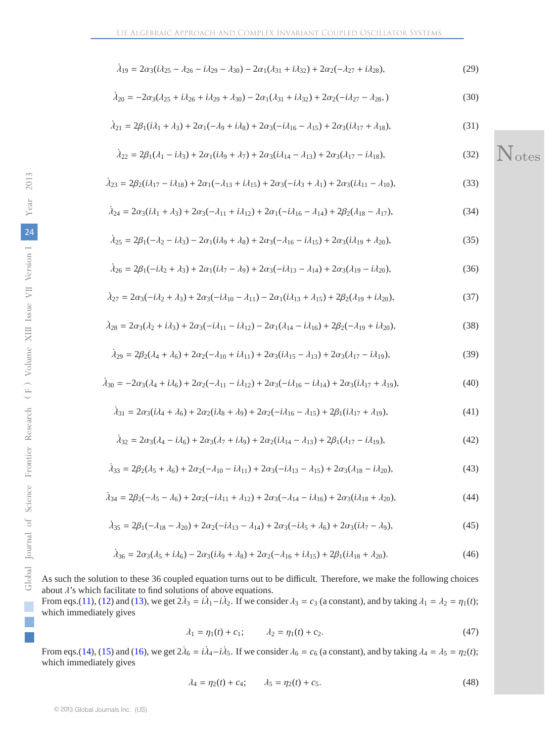$$
\dot{\lambda}_{19} = 2\alpha_3(i\lambda_{25} - \lambda_{26} - i\lambda_{29} - \lambda_{30}) - 2\alpha_1(\lambda_{31} + i\lambda_{32}) + 2\alpha_2(-\lambda_{27} + i\lambda_{28}),\tag{29}
$$

$$
\dot{\lambda}_{20} = -2\alpha_3(\lambda_{25} + i\lambda_{26} + i\lambda_{29} + \lambda_{30}) - 2\alpha_1(\lambda_{31} + i\lambda_{32}) + 2\alpha_2(-i\lambda_{27} - \lambda_{28},)
$$
\n(30)

$$
\dot{\lambda}_{21} = 2\beta_1(i\lambda_1 + \lambda_3) + 2\alpha_1(-\lambda_9 + i\lambda_8) + 2\alpha_3(-i\lambda_{16} - \lambda_{15}) + 2\alpha_3(i\lambda_{17} + \lambda_{18}),\tag{31}
$$

$$
\dot{\lambda}_{22} = 2\beta_1(\lambda_1 - i\lambda_3) + 2\alpha_1(i\lambda_9 + \lambda_7) + 2\alpha_3(i\lambda_{14} - \lambda_{13}) + 2\alpha_3(\lambda_{17} - i\lambda_{18}),\tag{32}
$$

$$
\lambda_{23} = 2\beta_2(i\lambda_{17} - i\lambda_{18}) + 2\alpha_1(-\lambda_{13} + i\lambda_{15}) + 2\alpha_3(-i\lambda_3 + \lambda_1) + 2\alpha_3(i\lambda_{11} - \lambda_{10}),\tag{33}
$$

$$
\dot{\lambda}_{24} = 2\alpha_3(i\lambda_1 + \lambda_3) + 2\alpha_3(-\lambda_{11} + i\lambda_{12}) + 2\alpha_1(-i\lambda_{16} - \lambda_{14}) + 2\beta_2(\lambda_{18} - \lambda_{17}),\tag{34}
$$

$$
\dot{\lambda}_{25} = 2\beta_1(-\lambda_2 - i\lambda_3) - 2\alpha_1(i\lambda_9 + \lambda_8) + 2\alpha_3(-\lambda_{16} - i\lambda_{15}) + 2\alpha_3(i\lambda_{19} + \lambda_{20}),\tag{35}
$$

$$
\dot{\lambda}_{26} = 2\beta_1(-i\lambda_2 + \lambda_3) + 2\alpha_1(i\lambda_7 - \lambda_9) + 2\alpha_3(-i\lambda_{13} - \lambda_{14}) + 2\alpha_3(\lambda_{19} - i\lambda_{20}),\tag{36}
$$

$$
\dot{\lambda}_{27} = 2\alpha_3(-i\lambda_2 + \lambda_3) + 2\alpha_3(-i\lambda_{10} - \lambda_{11}) - 2\alpha_1(i\lambda_{13} + \lambda_{15}) + 2\beta_2(\lambda_{19} + i\lambda_{20}),\tag{37}
$$

$$
\dot{\lambda}_{28} = 2\alpha_3(\lambda_2 + i\lambda_3) + 2\alpha_3(-i\lambda_{11} - i\lambda_{12}) - 2\alpha_1(\lambda_{14} - i\lambda_{16}) + 2\beta_2(-\lambda_{19} + i\lambda_{20}),\tag{38}
$$

$$
\dot{\lambda}_{29} = 2\beta_2(\lambda_4 + \lambda_6) + 2\alpha_2(-\lambda_{10} + i\lambda_{11}) + 2\alpha_3(i\lambda_{15} - \lambda_{13}) + 2\alpha_3(\lambda_{17} - i\lambda_{19}),\tag{39}
$$

$$
\dot{\lambda}_{30} = -2\alpha_3(\lambda_4 + i\lambda_6) + 2\alpha_2(-\lambda_{11} - i\lambda_{12}) + 2\alpha_3(-i\lambda_{16} - i\lambda_{14}) + 2\alpha_3(i\lambda_{17} + \lambda_{19}),\tag{40}
$$

$$
\lambda_{31} = 2\alpha_3(i\lambda_4 + \lambda_6) + 2\alpha_2(i\lambda_8 + \lambda_9) + 2\alpha_2(-i\lambda_{16} - \lambda_{15}) + 2\beta_1(i\lambda_{17} + \lambda_{19}),\tag{41}
$$

$$
\dot{\lambda}_{32} = 2\alpha_3(\lambda_4 - i\lambda_6) + 2\alpha_3(\lambda_7 + i\lambda_9) + 2\alpha_2(i\lambda_{14} - \lambda_{13}) + 2\beta_1(\lambda_{17} - i\lambda_{19}),\tag{42}
$$

$$
\dot{\lambda}_{33} = 2\beta_2(\lambda_5 + \lambda_6) + 2\alpha_2(-\lambda_{10} - i\lambda_{11}) + 2\alpha_3(-i\lambda_{13} - \lambda_{15}) + 2\alpha_3(\lambda_{18} - i\lambda_{20}),\tag{43}
$$

$$
\dot{\lambda}_{34} = 2\beta_2(-\lambda_5 - \lambda_6) + 2\alpha_2(-i\lambda_{11} + \lambda_{12}) + 2\alpha_3(-\lambda_{14} - i\lambda_{16}) + 2\alpha_3(i\lambda_{18} + \lambda_{20}),\tag{44}
$$

$$
\dot{\lambda}_{35} = 2\beta_1(-\lambda_{18} - \lambda_{20}) + 2\alpha_2(-i\lambda_{13} - \lambda_{14}) + 2\alpha_3(-i\lambda_5 + \lambda_6) + 2\alpha_3(i\lambda_7 - \lambda_9),\tag{45}
$$

$$
\dot{\lambda}_{36} = 2\alpha_3(\lambda_5 + i\lambda_6) - 2\alpha_3(i\lambda_9 + \lambda_8) + 2\alpha_2(-\lambda_{16} + i\lambda_{15}) + 2\beta_1(i\lambda_{18} + \lambda_{20}).\tag{46}
$$

As such the solution to these 36 coupled equation turns out to be difficult. Therefore, we make the following choices about  $\lambda$ 's which facilitate to find solutions of above equations.

From eqs.(11), (12) and (13), we get  $2\lambda_3 = i\lambda_1 - i\lambda_2$ . If we consider  $\lambda_3 = c_3$  (a constant), and by taking  $\lambda_1 = \lambda_2 = \eta_1(t)$ ; which immediately gives

$$
\lambda_1 = \eta_1(t) + c_1; \qquad \lambda_2 = \eta_1(t) + c_2. \tag{47}
$$

From eqs.(14), (15) and (16), we get  $2\lambda_6 = i\lambda_4 - i\lambda_5$ . If we consider  $\lambda_6 = c_6$  (a constant), and by taking  $\lambda_4 = \lambda_5 = \eta_2(t)$ ; which immediately gives

$$
\lambda_4 = \eta_2(t) + c_4; \qquad \lambda_5 = \eta_2(t) + c_5. \tag{48}
$$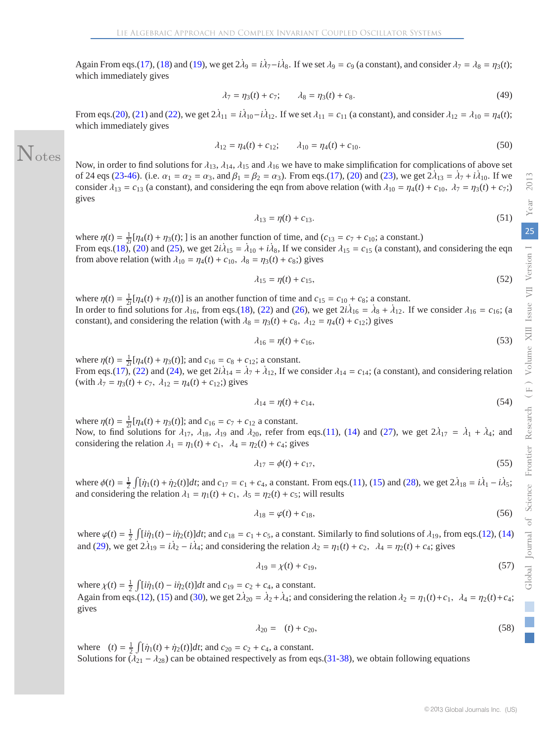Again From eqs.(17), (18) and (19), we get  $2\lambda_9 = i\lambda_7 - i\lambda_8$ . If we set  $\lambda_9 = c_9$  (a constant), and consider  $\lambda_7 = \lambda_8 = \eta_3(t)$ ; which immediately gives

$$
\lambda_7 = \eta_3(t) + c_7; \qquad \lambda_8 = \eta_3(t) + c_8. \tag{49}
$$

From eqs.(20), (21) and (22), we get  $2\lambda_{11} = i\lambda_{10} - i\lambda_{12}$ . If we set  $\lambda_{11} = c_{11}$  (a constant), and consider  $\lambda_{12} = \lambda_{10} = \eta_4(t)$ ; which immediately gives

$$
\lambda_{12} = \eta_4(t) + c_{12}; \qquad \lambda_{10} = \eta_4(t) + c_{10}.
$$
 (50)

Now, in order to find solutions for  $\lambda_{13}$ ,  $\lambda_{14}$ ,  $\lambda_{15}$  and  $\lambda_{16}$  we have to make simplification for complications of above set of 24 eqs (23-46). (i.e.  $\alpha_1 = \alpha_2 = \alpha_3$ , and  $\beta_1 = \beta_2 = \alpha_3$ ). From eqs.(17), (20) and (23), we get  $2\lambda_{13} = \lambda_7 + i\lambda_{10}$ . If we consider  $\lambda_{13} = c_{13}$  (a constant), and considering the eqn from above relation (with  $\lambda_{10} = \eta_4(t) + c_{10}$ ,  $\lambda_7 = \eta_3(t) + c_{7}$ ;) gives

Notes

$$
\lambda_{13} = \eta(t) + c_{13}.\tag{51}
$$

where  $\eta(t) = \frac{1}{2i} [\eta_4(t) + \eta_3(t)]$  is an another function of time, and  $(c_{13} = c_7 + c_{10})$ ; a constant.) From eqs.(18), (20) and (25), we get  $2i\lambda_{15} = \lambda_{10} + i\lambda_8$ , If we consider  $\lambda_{15} = c_{15}$  (a constant), and considering the eqn from above relation (with  $\lambda_{10} = \eta_4(t) + c_{10}$ ,  $\lambda_8 = \eta_3(t) + c_8$ ;) gives

$$
\lambda_{15} = \eta(t) + c_{15},\tag{52}
$$

where  $\eta(t) = \frac{1}{2i} [\eta_4(t) + \eta_3(t)]$  is an another function of time and  $c_{15} = c_{10} + c_8$ ; a constant. In order to find solutions for  $\lambda_{16}$ , from eqs.(18), (22) and (26), we get  $2i\lambda_{16} = \lambda_8 + \lambda_{12}$ . If we consider  $\lambda_{16} = c_{16}$ ; (a constant), and considering the relation (with  $\lambda_8 = \eta_3(t) + c_8$ ,  $\lambda_{12} = \eta_4(t) + c_{12}$ ;) gives

$$
\lambda_{16} = \eta(t) + c_{16},\tag{53}
$$

where  $\eta(t) = \frac{1}{2i} [\eta_4(t) + \eta_3(t)]$ ; and  $c_{16} = c_8 + c_{12}$ ; a constant. From eqs.(17), (22) and (24), we get  $2i\lambda_{14} = \lambda_7 + \lambda_{12}$ , If we consider  $\lambda_{14} = c_{14}$ ; (a constant), and considering relation (with  $\lambda_7 = \eta_3(t) + c_7$ ,  $\lambda_{12} = \eta_4(t) + c_{12}$ ;) gives

$$
\lambda_{14} = \eta(t) + c_{14},\tag{54}
$$

where  $\eta(t) = \frac{1}{2i} [\eta_4(t) + \eta_3(t)]$ ; and  $c_{16} = c_7 + c_{12}$  a constant. Now, to find solutions for  $\lambda_{17}$ ,  $\lambda_{18}$ ,  $\lambda_{19}$  and  $\lambda_{20}$ , refer from eqs.(11), (14) and (27), we get  $2\lambda_{17} = \lambda_1 + \lambda_4$ ; and considering the relation  $\lambda_1 = \eta_1(t) + c_1$ ,  $\lambda_4 = \eta_2(t) + c_4$ ; gives

$$
\lambda_{17} = \phi(t) + c_{17},\tag{55}
$$

where  $\phi(t) = \frac{1}{2} \int [\dot{\eta}_1(t) + \dot{\eta}_2(t)] dt$ ; and  $c_{17} = c_1 + c_4$ , a constant. From eqs.(11), (15) and (28), we get  $2\lambda_{18} = i\lambda_1 - i\lambda_5$ ; and considering the relation  $\lambda_1 = \eta_1(t) + c_1$ ,  $\lambda_5 = \eta_2(t) + c_5$ ; will results

$$
\lambda_{18} = \varphi(t) + c_{18},\tag{56}
$$

where  $\varphi(t) = \frac{1}{2} \int [\dot{i}\eta_1(t) - \dot{i}\eta_2(t)]dt$ ; and  $c_{18} = c_1 + c_5$ , a constant. Similarly to find solutions of  $\lambda_{19}$ , from eqs.(12), (14) and (29), we get  $2\lambda_{19} = i\lambda_2 - i\lambda_4$ ; and considering the relation  $\lambda_2 = \eta_1(t) + c_2$ ,  $\lambda_4 = \eta_2(t) + c_4$ ; gives

$$
\lambda_{19} = \chi(t) + c_{19},\tag{57}
$$

where  $\chi(t) = \frac{1}{2} \int [i\dot{\eta}_1(t) - i\dot{\eta}_2(t)]dt$  and  $c_{19} = c_2 + c_4$ , a constant. Again from eqs.(12), (15) and (30), we get  $2\lambda_{20} = \lambda_2 + \lambda_4$ ; and considering the relation  $\lambda_2 = \eta_1(t) + c_1$ ,  $\lambda_4 = \eta_2(t) + c_4$ ; gives

$$
\lambda_{20} = (t) + c_{20}, \tag{58}
$$

where  $(t) = \frac{1}{2} \int [\dot{\eta}_1(t) + \dot{\eta}_2(t)] dt$ ; and  $c_{20} = c_2 + c_4$ , a constant. Solutions for  $(\lambda_{21} - \lambda_{28})$  can be obtained respectively as from eqs.(31-38), we obtain following equations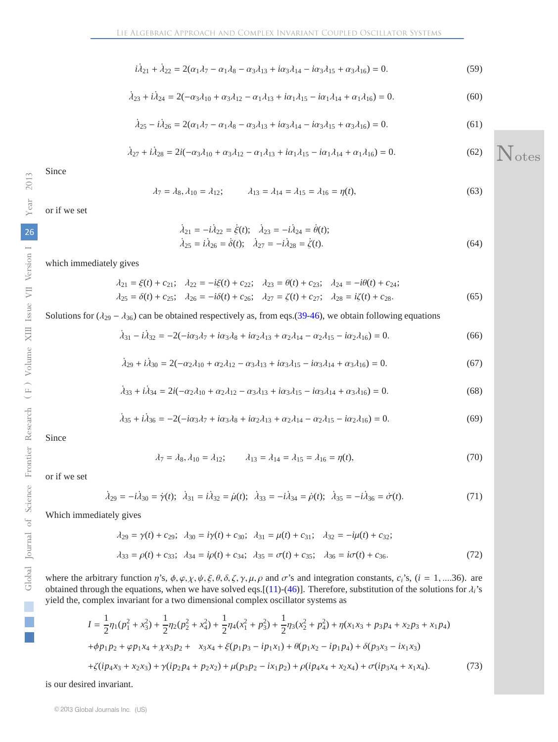$$
i\lambda_{21} + \lambda_{22} = 2(\alpha_1 \lambda_7 - \alpha_1 \lambda_8 - \alpha_3 \lambda_{13} + i\alpha_3 \lambda_{14} - i\alpha_3 \lambda_{15} + \alpha_3 \lambda_{16}) = 0.
$$
 (59)

$$
\dot{\lambda}_{23} + i\dot{\lambda}_{24} = 2(-\alpha_3\lambda_{10} + \alpha_3\lambda_{12} - \alpha_1\lambda_{13} + i\alpha_1\lambda_{15} - i\alpha_1\lambda_{14} + \alpha_1\lambda_{16}) = 0.
$$
\n(60)

$$
\dot{\lambda}_{25} - i\dot{\lambda}_{26} = 2(\alpha_1\lambda_7 - \alpha_1\lambda_8 - \alpha_3\lambda_{13} + i\alpha_3\lambda_{14} - i\alpha_3\lambda_{15} + \alpha_3\lambda_{16}) = 0.
$$
 (61)

$$
\dot{\lambda}_{27} + i\dot{\lambda}_{28} = 2i(-\alpha_3\lambda_{10} + \alpha_3\lambda_{12} - \alpha_1\lambda_{13} + i\alpha_1\lambda_{15} - i\alpha_1\lambda_{14} + \alpha_1\lambda_{16}) = 0.
$$
 (62)

Since

$$
\lambda_7 = \lambda_8, \lambda_{10} = \lambda_{12}; \qquad \lambda_{13} = \lambda_{14} = \lambda_{15} = \lambda_{16} = \eta(t), \tag{63}
$$

or if we set

$$
\begin{aligned}\n\lambda_{21} &= -i\lambda_{22} = \dot{\xi}(t); \quad \lambda_{23} = -i\lambda_{24} = \dot{\theta}(t); \\
\lambda_{25} &= i\lambda_{26} = \dot{\delta}(t); \quad \lambda_{27} = -i\lambda_{28} = \dot{\zeta}(t).\n\end{aligned} \tag{64}
$$

which immediately gives

$$
\lambda_{21} = \xi(t) + c_{21}; \quad \lambda_{22} = -i\xi(t) + c_{22}; \quad \lambda_{23} = \theta(t) + c_{23}; \quad \lambda_{24} = -i\theta(t) + c_{24};
$$
\n
$$
\lambda_{25} = \delta(t) + c_{25}; \quad \lambda_{26} = -i\delta(t) + c_{26}; \quad \lambda_{27} = \zeta(t) + c_{27}; \quad \lambda_{28} = i\zeta(t) + c_{28}.
$$
\n(65)

Solutions for  $(\lambda_{29} - \lambda_{36})$  can be obtained respectively as, from eqs.(39-46), we obtain following equations

$$
\dot{\lambda}_{31} - i\dot{\lambda}_{32} = -2(-i\alpha_3\lambda_7 + i\alpha_3\lambda_8 + i\alpha_2\lambda_{13} + \alpha_2\lambda_{14} - \alpha_2\lambda_{15} - i\alpha_2\lambda_{16}) = 0.
$$
 (66)

$$
\dot{\lambda}_{29} + i\dot{\lambda}_{30} = 2(-\alpha_2\lambda_{10} + \alpha_2\lambda_{12} - \alpha_3\lambda_{13} + i\alpha_3\lambda_{15} - i\alpha_3\lambda_{14} + \alpha_3\lambda_{16}) = 0.
$$
 (67)

$$
\dot{\lambda}_{33} + i\dot{\lambda}_{34} = 2i(-\alpha_2\lambda_{10} + \alpha_2\lambda_{12} - \alpha_3\lambda_{13} + i\alpha_3\lambda_{15} - i\alpha_3\lambda_{14} + \alpha_3\lambda_{16}) = 0.
$$
\n(68)

$$
\dot{\lambda}_{35} + i\dot{\lambda}_{36} = -2(-i\alpha_3\lambda_7 + i\alpha_3\lambda_8 + i\alpha_2\lambda_{13} + \alpha_2\lambda_{14} - \alpha_2\lambda_{15} - i\alpha_2\lambda_{16}) = 0. \tag{69}
$$

Since

$$
\lambda_7 = \lambda_8, \lambda_{10} = \lambda_{12}; \qquad \lambda_{13} = \lambda_{14} = \lambda_{15} = \lambda_{16} = \eta(t), \tag{70}
$$

or if we set

$$
\dot{\lambda}_{29} = -i\dot{\lambda}_{30} = \dot{\gamma}(t); \quad \dot{\lambda}_{31} = i\dot{\lambda}_{32} = \dot{\mu}(t); \quad \dot{\lambda}_{33} = -i\dot{\lambda}_{34} = \dot{\rho}(t); \quad \dot{\lambda}_{35} = -i\dot{\lambda}_{36} = \dot{\sigma}(t). \tag{71}
$$

Which immediately gives

$$
\lambda_{29} = \gamma(t) + c_{29}; \quad \lambda_{30} = i\gamma(t) + c_{30}; \quad \lambda_{31} = \mu(t) + c_{31}; \quad \lambda_{32} = -i\mu(t) + c_{32};
$$
\n
$$
\lambda_{33} = \rho(t) + c_{33}; \quad \lambda_{34} = i\rho(t) + c_{34}; \quad \lambda_{35} = \sigma(t) + c_{35}; \quad \lambda_{36} = i\sigma(t) + c_{36}.
$$
\n
$$
(72)
$$

where the arbitrary function  $\eta$ 's,  $\phi$ ,  $\varphi$ ,  $\chi$ ,  $\psi$ ,  $\xi$ ,  $\theta$ ,  $\delta$ ,  $\zeta$ ,  $\gamma$ ,  $\mu$ ,  $\rho$  and  $\sigma$ 's and integration constants,  $c_i$ 's, ( $i = 1, \ldots, 36$ ). are obtained through the equations, when we have solved eqs.[(11)-(46)]. Therefore, substitution of the solutions for  $\lambda_i$ 's yield the, complex invariant for a two dimensional complex oscillator systems as

$$
I = \frac{1}{2}\eta_1(p_1^2 + x_3^2) + \frac{1}{2}\eta_2(p_2^2 + x_4^2) + \frac{1}{2}\eta_4(x_1^2 + p_3^2) + \frac{1}{2}\eta_3(x_2^2 + p_4^2) + \eta(x_1x_3 + p_3p_4 + x_2p_3 + x_1p_4)
$$
  
+  $\phi p_1p_2 + \phi p_1x_4 + \chi x_3p_2 + x_3x_4 + \xi(p_1p_3 - ip_1x_1) + \theta(p_1x_2 - ip_1p_4) + \delta(p_3x_3 - ix_1x_3)$   
+  $\zeta(ip_4x_3 + x_2x_3) + \gamma(ip_2p_4 + p_2x_2) + \mu(p_3p_2 - ix_1p_2) + \rho(ip_4x_4 + x_2x_4) + \sigma(ip_3x_4 + x_1x_4).$  (73)

is our desired invariant.

i<br>Li

otes